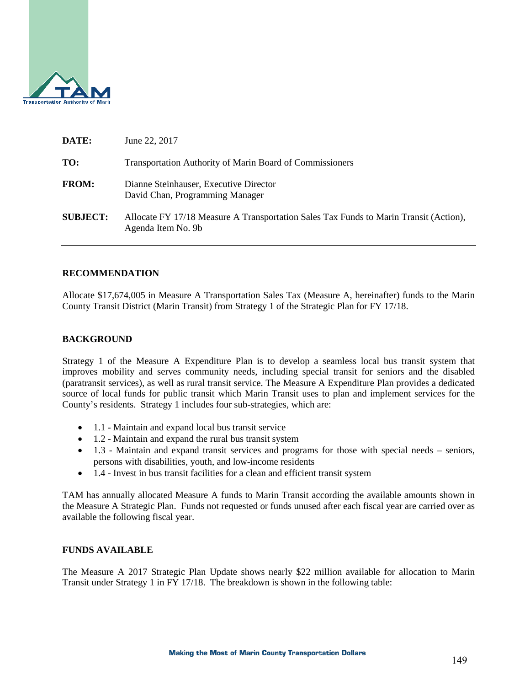

| June 22, 2017                                                                                               |
|-------------------------------------------------------------------------------------------------------------|
| <b>Transportation Authority of Marin Board of Commissioners</b>                                             |
| Dianne Steinhauser, Executive Director<br>David Chan, Programming Manager                                   |
| Allocate FY 17/18 Measure A Transportation Sales Tax Funds to Marin Transit (Action),<br>Agenda Item No. 9b |
|                                                                                                             |

#### **RECOMMENDATION**

Allocate \$17,674,005 in Measure A Transportation Sales Tax (Measure A, hereinafter) funds to the Marin County Transit District (Marin Transit) from Strategy 1 of the Strategic Plan for FY 17/18.

#### **BACKGROUND**

Strategy 1 of the Measure A Expenditure Plan is to develop a seamless local bus transit system that improves mobility and serves community needs, including special transit for seniors and the disabled (paratransit services), as well as rural transit service. The Measure A Expenditure Plan provides a dedicated source of local funds for public transit which Marin Transit uses to plan and implement services for the County's residents. Strategy 1 includes four sub-strategies, which are:

- 1.1 Maintain and expand local bus transit service
- 1.2 Maintain and expand the rural bus transit system
- 1.3 Maintain and expand transit services and programs for those with special needs seniors, persons with disabilities, youth, and low-income residents
- 1.4 Invest in bus transit facilities for a clean and efficient transit system

TAM has annually allocated Measure A funds to Marin Transit according the available amounts shown in the Measure A Strategic Plan. Funds not requested or funds unused after each fiscal year are carried over as available the following fiscal year.

#### **FUNDS AVAILABLE**

The Measure A 2017 Strategic Plan Update shows nearly \$22 million available for allocation to Marin Transit under Strategy 1 in FY 17/18. The breakdown is shown in the following table: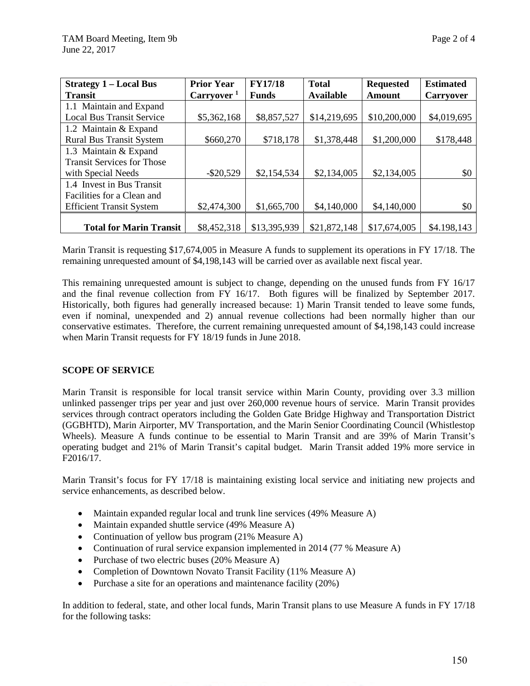| <b>Strategy 1 - Local Bus</b>     | <b>Prior Year</b>      | <b>FY17/18</b> | <b>Total</b>     | <b>Requested</b> | <b>Estimated</b> |
|-----------------------------------|------------------------|----------------|------------------|------------------|------------------|
| <b>Transit</b>                    | Carryover <sup>1</sup> | <b>Funds</b>   | <b>Available</b> | <b>Amount</b>    | <b>Carryover</b> |
| 1.1 Maintain and Expand           |                        |                |                  |                  |                  |
| <b>Local Bus Transit Service</b>  | \$5,362,168            | \$8,857,527    | \$14,219,695     | \$10,200,000     | \$4,019,695      |
| 1.2 Maintain & Expand             |                        |                |                  |                  |                  |
| <b>Rural Bus Transit System</b>   | \$660,270              | \$718,178      | \$1,378,448      | \$1,200,000      | \$178,448        |
| 1.3 Maintain & Expand             |                        |                |                  |                  |                  |
| <b>Transit Services for Those</b> |                        |                |                  |                  |                  |
| with Special Needs                | $-$ \$20,529           | \$2,154,534    | \$2,134,005      | \$2,134,005      | \$0              |
| 1.4 Invest in Bus Transit         |                        |                |                  |                  |                  |
| Facilities for a Clean and        |                        |                |                  |                  |                  |
| <b>Efficient Transit System</b>   | \$2,474,300            | \$1,665,700    | \$4,140,000      | \$4,140,000      | \$0              |
|                                   |                        |                |                  |                  |                  |
| <b>Total for Marin Transit</b>    | \$8,452,318            | \$13,395,939   | \$21,872,148     | \$17,674,005     | \$4.198,143      |

Marin Transit is requesting \$17,674,005 in Measure A funds to supplement its operations in FY 17/18. The remaining unrequested amount of \$4,198,143 will be carried over as available next fiscal year.

This remaining unrequested amount is subject to change, depending on the unused funds from FY 16/17 and the final revenue collection from FY 16/17. Both figures will be finalized by September 2017. Historically, both figures had generally increased because: 1) Marin Transit tended to leave some funds, even if nominal, unexpended and 2) annual revenue collections had been normally higher than our conservative estimates. Therefore, the current remaining unrequested amount of \$4,198,143 could increase when Marin Transit requests for FY 18/19 funds in June 2018.

#### **SCOPE OF SERVICE**

Marin Transit is responsible for local transit service within Marin County, providing over 3.3 million unlinked passenger trips per year and just over 260,000 revenue hours of service. Marin Transit provides services through contract operators including the Golden Gate Bridge Highway and Transportation District (GGBHTD), Marin Airporter, MV Transportation, and the Marin Senior Coordinating Council (Whistlestop Wheels). Measure A funds continue to be essential to Marin Transit and are 39% of Marin Transit's operating budget and 21% of Marin Transit's capital budget. Marin Transit added 19% more service in F2016/17.

Marin Transit's focus for FY 17/18 is maintaining existing local service and initiating new projects and service enhancements, as described below.

- Maintain expanded regular local and trunk line services (49% Measure A)
- Maintain expanded shuttle service (49% Measure A)
- Continuation of yellow bus program (21% Measure A)
- Continuation of rural service expansion implemented in 2014 (77 % Measure A)
- Purchase of two electric buses (20% Measure A)
- Completion of Downtown Novato Transit Facility (11% Measure A)
- Purchase a site for an operations and maintenance facility (20%)

In addition to federal, state, and other local funds, Marin Transit plans to use Measure A funds in FY 17/18 for the following tasks: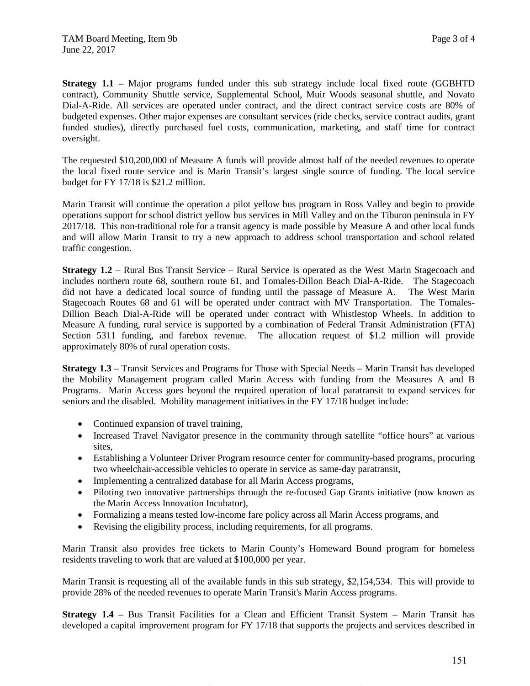**Strategy 1.1** – Major programs funded under this sub strategy include local fixed route (GGBHTD contract), Community Shuttle service, Supplemental School, Muir Woods seasonal shuttle, and Novato Dial-A-Ride. All services are operated under contract, and the direct contract service costs are 80% of budgeted expenses. Other major expenses are consultant services (ride checks, service contract audits, grant funded studies), directly purchased fuel costs, communication, marketing, and staff time for contract oversight.

The requested \$10,200,000 of Measure A funds will provide almost half of the needed revenues to operate the local fixed route service and is Marin Transit's largest single source of funding. The local service budget for FY 17/18 is \$21.2 million.

Marin Transit will continue the operation a pilot yellow bus program in Ross Valley and begin to provide operations support for school district yellow bus services in Mill Valley and on the Tiburon peninsula in FY 2017/18. This non-traditional role for a transit agency is made possible by Measure A and other local funds and will allow Marin Transit to try a new approach to address school transportation and school related traffic congestion.

**Strategy 1.2** – Rural Bus Transit Service – Rural Service is operated as the West Marin Stagecoach and includes northern route 68, southern route 61, and Tomales-Dillon Beach Dial-A-Ride. The Stagecoach did not have a dedicated local source of funding until the passage of Measure A. The West Marin Stagecoach Routes 68 and 61 will be operated under contract with MV Transportation. The Tomales-Dillion Beach Dial-A-Ride will be operated under contract with Whistlestop Wheels. In addition to Measure A funding, rural service is supported by a combination of Federal Transit Administration (FTA) Section 5311 funding, and farebox revenue. The allocation request of \$1.2 million will provide approximately 80% of rural operation costs.

**Strategy 1.3** – Transit Services and Programs for Those with Special Needs – Marin Transit has developed the Mobility Management program called Marin Access with funding from the Measures A and B Programs. Marin Access goes beyond the required operation of local paratransit to expand services for seniors and the disabled. Mobility management initiatives in the FY 17/18 budget include:

- Continued expansion of travel training,
- Increased Travel Navigator presence in the community through satellite "office hours" at various sites,
- Establishing a Volunteer Driver Program resource center for community-based programs, procuring two wheelchair-accessible vehicles to operate in service as same-day paratransit,
- Implementing a centralized database for all Marin Access programs,
- Piloting two innovative partnerships through the re-focused Gap Grants initiative (now known as the Marin Access Innovation Incubator),
- Formalizing a means tested low-income fare policy across all Marin Access programs, and
- Revising the eligibility process, including requirements, for all programs.

Marin Transit also provides free tickets to Marin County's Homeward Bound program for homeless residents traveling to work that are valued at \$100,000 per year.

Marin Transit is requesting all of the available funds in this sub strategy, \$2,154,534. This will provide to provide 28% of the needed revenues to operate Marin Transit's Marin Access programs.

**Strategy 1.4** – Bus Transit Facilities for a Clean and Efficient Transit System – Marin Transit has developed a capital improvement program for FY 17/18 that supports the projects and services described in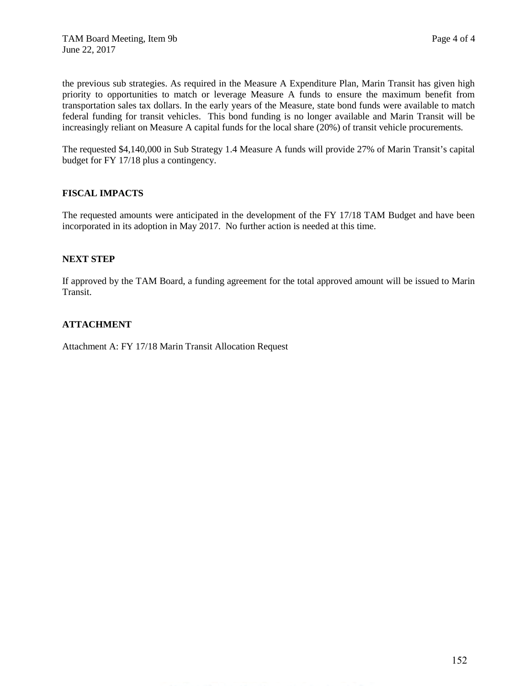the previous sub strategies. As required in the Measure A Expenditure Plan, Marin Transit has given high priority to opportunities to match or leverage Measure A funds to ensure the maximum benefit from transportation sales tax dollars. In the early years of the Measure, state bond funds were available to match federal funding for transit vehicles. This bond funding is no longer available and Marin Transit will be increasingly reliant on Measure A capital funds for the local share (20%) of transit vehicle procurements.

The requested \$4,140,000 in Sub Strategy 1.4 Measure A funds will provide 27% of Marin Transit's capital budget for FY 17/18 plus a contingency.

## **FISCAL IMPACTS**

The requested amounts were anticipated in the development of the FY 17/18 TAM Budget and have been incorporated in its adoption in May 2017. No further action is needed at this time.

## **NEXT STEP**

If approved by the TAM Board, a funding agreement for the total approved amount will be issued to Marin Transit.

### **ATTACHMENT**

Attachment A: FY 17/18 Marin Transit Allocation Request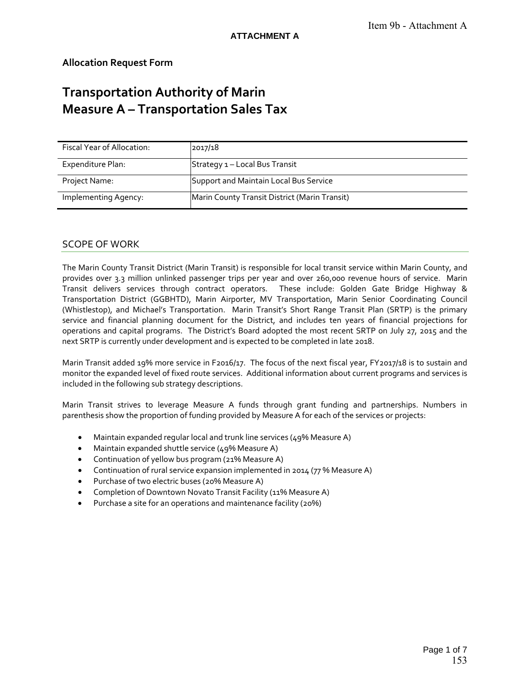# **Allocation Request Form**

# **Transportation Authority of Marin Measure A – Transportation Sales Tax**

| Fiscal Year of Allocation: | 2017/18                                       |
|----------------------------|-----------------------------------------------|
| Expenditure Plan:          | Strategy 1 - Local Bus Transit                |
| Project Name:              | Support and Maintain Local Bus Service        |
| Implementing Agency:       | Marin County Transit District (Marin Transit) |

### SCOPE OF WORK

The Marin County Transit District (Marin Transit) is responsible for local transit service within Marin County, and provides over 3.3 million unlinked passenger trips per year and over 260,000 revenue hours of service. Marin Transit delivers services through contract operators. These include: Golden Gate Bridge Highway & Transportation District (GGBHTD), Marin Airporter, MV Transportation, Marin Senior Coordinating Council (Whistlestop), and Michael's Transportation. Marin Transit's Short Range Transit Plan (SRTP) is the primary service and financial planning document for the District, and includes ten years of financial projections for operations and capital programs. The District's Board adopted the most recent SRTP on July 27, 2015 and the next SRTP is currently under development and is expected to be completed in late 2018.

Marin Transit added 19% more service in F2016/17. The focus of the next fiscal year, FY2017/18 is to sustain and monitor the expanded level of fixed route services. Additional information about current programs and services is included in the following sub strategy descriptions.

Marin Transit strives to leverage Measure A funds through grant funding and partnerships. Numbers in parenthesis show the proportion of funding provided by Measure A for each of the services or projects:

- Maintain expanded regular local and trunk line services (49% Measure A)
- Maintain expanded shuttle service (49% Measure A)
- Continuation of yellow bus program (21% Measure A)
- Continuation of rural service expansion implemented in 2014 (77 % Measure A)
- Purchase of two electric buses (20% Measure A)
- Completion of Downtown Novato Transit Facility (11% Measure A)
- Purchase a site for an operations and maintenance facility (20%)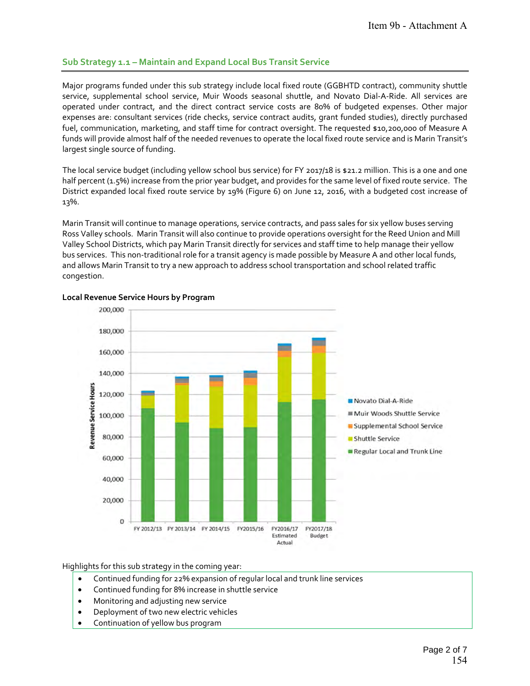## **Sub Strategy 1.1 – Maintain and Expand Local Bus Transit Service**

Major programs funded under this sub strategy include local fixed route (GGBHTD contract), community shuttle service, supplemental school service, Muir Woods seasonal shuttle, and Novato Dial‐A‐Ride. All services are operated under contract, and the direct contract service costs are 80% of budgeted expenses. Other major expenses are: consultant services (ride checks, service contract audits, grant funded studies), directly purchased fuel, communication, marketing, and staff time for contract oversight. The requested \$10,200,000 of Measure A funds will provide almost half of the needed revenues to operate the local fixed route service and is Marin Transit's largest single source of funding.

The local service budget (including yellow school bus service) for FY 2017/18 is \$21.2 million. This is a one and one half percent (1.5%) increase from the prior year budget, and provides for the same level of fixed route service. The District expanded local fixed route service by 19% (Figure 6) on June 12, 2016, with a budgeted cost increase of 13%.

Marin Transit will continue to manage operations, service contracts, and pass sales for six yellow buses serving Ross Valley schools. Marin Transit will also continue to provide operations oversight for the Reed Union and Mill Valley School Districts, which pay Marin Transit directly for services and staff time to help manage their yellow bus services. This non‐traditional role for a transit agency is made possible by Measure A and other local funds, and allows Marin Transit to try a new approach to address school transportation and school related traffic congestion.



#### **Local Revenue Service Hours by Program**

Highlights for this sub strategy in the coming year:

- Continued funding for 22% expansion of regular local and trunk line services
- Continued funding for 8% increase in shuttle service
- Monitoring and adjusting new service
- Deployment of two new electric vehicles
- Continuation of yellow bus program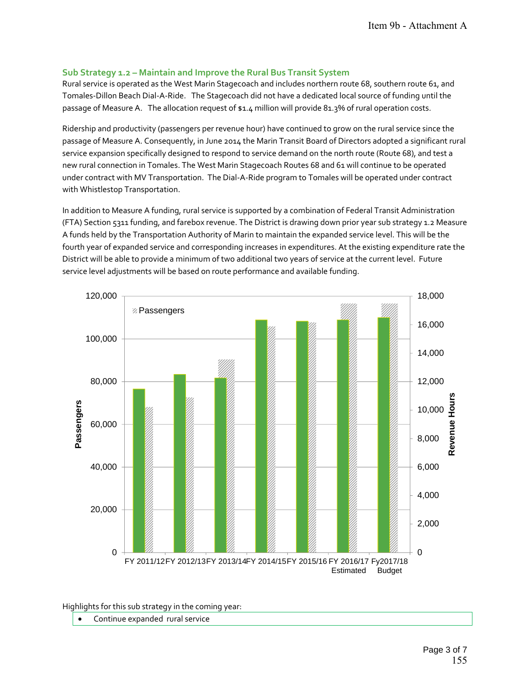### **Sub Strategy 1.2 – Maintain and Improve the Rural Bus Transit System**

Rural service is operated as the West Marin Stagecoach and includes northern route 68, southern route 61, and Tomales‐Dillon Beach Dial‐A‐Ride. The Stagecoach did not have a dedicated local source of funding until the passage of Measure A. The allocation request of \$1.4 million will provide 81.3% of rural operation costs.

Ridership and productivity (passengers per revenue hour) have continued to grow on the rural service since the passage of Measure A. Consequently, in June 2014 the Marin Transit Board of Directors adopted a significant rural service expansion specifically designed to respond to service demand on the north route (Route 68), and test a new rural connection in Tomales. The West Marin Stagecoach Routes 68 and 61 will continue to be operated under contract with MV Transportation. The Dial‐A‐Ride program to Tomales will be operated under contract with Whistlestop Transportation.

In addition to Measure A funding, rural service is supported by a combination of Federal Transit Administration (FTA) Section 5311 funding, and farebox revenue. The District is drawing down prior year sub strategy 1.2 Measure A funds held by the Transportation Authority of Marin to maintain the expanded service level. This will be the fourth year of expanded service and corresponding increases in expenditures. At the existing expenditure rate the District will be able to provide a minimum of two additional two years of service at the current level. Future service level adjustments will be based on route performance and available funding.



Highlights for this sub strategy in the coming year:

Continue expanded rural service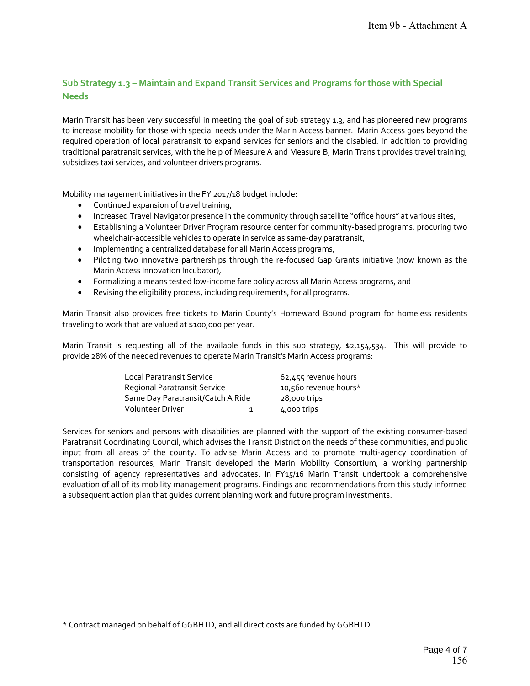# **Sub Strategy 1.3 – Maintain and Expand Transit Services and Programs for those with Special Needs**

Marin Transit has been very successful in meeting the goal of sub strategy 1.3, and has pioneered new programs to increase mobility for those with special needs under the Marin Access banner. Marin Access goes beyond the required operation of local paratransit to expand services for seniors and the disabled. In addition to providing traditional paratransit services, with the help of Measure A and Measure B, Marin Transit provides travel training, subsidizes taxi services, and volunteer drivers programs.

Mobility management initiatives in the FY 2017/18 budget include:

- Continued expansion of travel training,
- Increased Travel Navigator presence in the community through satellite "office hours" at various sites,
- Establishing a Volunteer Driver Program resource center for community‐based programs, procuring two wheelchair-accessible vehicles to operate in service as same-day paratransit,
- Implementing a centralized database for all Marin Access programs,
- Piloting two innovative partnerships through the re-focused Gap Grants initiative (now known as the Marin Access Innovation Incubator),
- Formalizing a means tested low‐income fare policy across all Marin Access programs, and
- Revising the eligibility process, including requirements, for all programs.

Marin Transit also provides free tickets to Marin County's Homeward Bound program for homeless residents traveling to work that are valued at \$100,000 per year.

Marin Transit is requesting all of the available funds in this sub strategy,  $$2,154,534$ . This will provide to provide 28% of the needed revenues to operate Marin Transit's Marin Access programs:

| Local Paratransit Service         |   | 62,455 revenue hours  |  |  |
|-----------------------------------|---|-----------------------|--|--|
| Regional Paratransit Service      |   | 10,560 revenue hours* |  |  |
| Same Day Paratransit/Catch A Ride |   | 28,000 trips          |  |  |
| Volunteer Driver                  | 1 | 4,000 trips           |  |  |

Services for seniors and persons with disabilities are planned with the support of the existing consumer‐based Paratransit Coordinating Council, which advises the Transit District on the needs of these communities, and public input from all areas of the county. To advise Marin Access and to promote multi-agency coordination of transportation resources, Marin Transit developed the Marin Mobility Consortium, a working partnership consisting of agency representatives and advocates. In FY15/16 Marin Transit undertook a comprehensive evaluation of all of its mobility management programs. Findings and recommendations from this study informed a subsequent action plan that guides current planning work and future program investments.

<sup>-</sup>\* Contract managed on behalf of GGBHTD, and all direct costs are funded by GGBHTD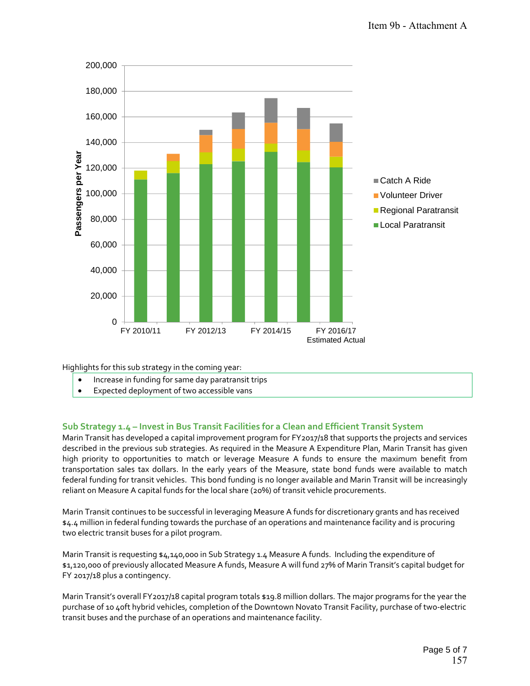

Highlights for this sub strategy in the coming year:

- Increase in funding for same day paratransit trips
- Expected deployment of two accessible vans

## **Sub Strategy 1.4 – Invest in Bus Transit Facilities for a Clean and Efficient Transit System**

Marin Transit has developed a capital improvement program for FY2017/18 that supports the projects and services described in the previous sub strategies. As required in the Measure A Expenditure Plan, Marin Transit has given high priority to opportunities to match or leverage Measure A funds to ensure the maximum benefit from transportation sales tax dollars. In the early years of the Measure, state bond funds were available to match federal funding for transit vehicles. This bond funding is no longer available and Marin Transit will be increasingly reliant on Measure A capital funds for the local share (20%) of transit vehicle procurements.

Marin Transit continues to be successful in leveraging Measure A funds for discretionary grants and has received \$4.4 million in federal funding towards the purchase of an operations and maintenance facility and is procuring two electric transit buses for a pilot program.

Marin Transit is requesting \$4,140,000 in Sub Strategy 1.4 Measure A funds. Including the expenditure of \$1,120,000 of previously allocated Measure A funds, Measure A will fund 27% of Marin Transit's capital budget for FY 2017/18 plus a contingency.

Marin Transit's overall FY2017/18 capital program totals \$19.8 million dollars. The major programs for the year the purchase of 10 40ft hybrid vehicles, completion of the Downtown Novato Transit Facility, purchase of two‐electric transit buses and the purchase of an operations and maintenance facility.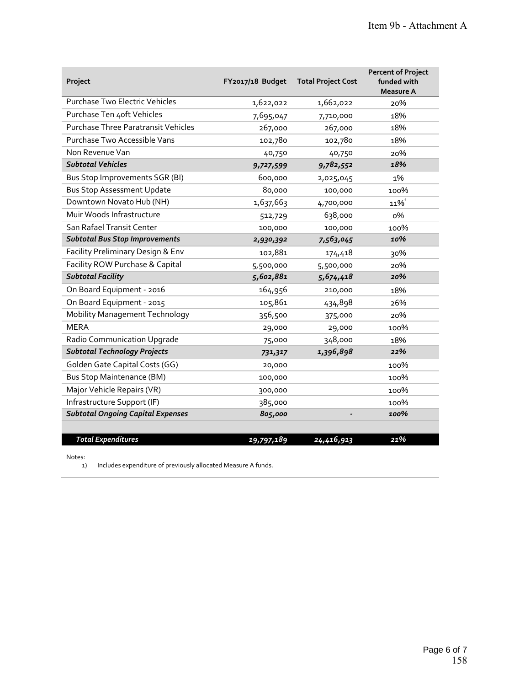| Project                                    | FY2017/18 Budget | <b>Total Project Cost</b> | <b>Percent of Project</b><br>funded with<br><b>Measure A</b> |
|--------------------------------------------|------------------|---------------------------|--------------------------------------------------------------|
| Purchase Two Electric Vehicles             | 1,622,022        | 1,662,022                 | 20%                                                          |
| Purchase Ten 4oft Vehicles                 | 7,695,047        | 7,710,000                 | 18%                                                          |
| <b>Purchase Three Paratransit Vehicles</b> | 267,000          | 267,000                   | 18%                                                          |
| Purchase Two Accessible Vans               | 102,780          | 102,780                   | 18%                                                          |
| Non Revenue Van                            | 40,750           | 40,750                    | 20%                                                          |
| <b>Subtotal Vehicles</b>                   | 9,727,599        | 9,782,552                 | 18%                                                          |
| Bus Stop Improvements SGR (BI)             | 600,000          | 2,025,045                 | 1%                                                           |
| <b>Bus Stop Assessment Update</b>          | 80,000           | 100,000                   | 100%                                                         |
| Downtown Novato Hub (NH)                   | 1,637,663        | 4,700,000                 | $11\%$ <sup>1</sup>                                          |
| Muir Woods Infrastructure                  | 512,729          | 638,000                   | о%                                                           |
| San Rafael Transit Center                  | 100,000          | 100,000                   | 100%                                                         |
| <b>Subtotal Bus Stop Improvements</b>      | 2,930,392        | 7,563,045                 | 10%                                                          |
| Facility Preliminary Design & Env          | 102,881          | 174,418                   | 30%                                                          |
| Facility ROW Purchase & Capital            | 5,500,000        | 5,500,000                 | 20%                                                          |
| <b>Subtotal Facility</b>                   | 5,602,881        | 5,674,418                 | 20%                                                          |
| On Board Equipment - 2016                  | 164,956          | 210,000                   | 18%                                                          |
| On Board Equipment - 2015                  | 105,861          | 434,898                   | 26%                                                          |
| <b>Mobility Management Technology</b>      | 356,500          | 375,000                   | 20%                                                          |
| <b>MERA</b>                                | 29,000           | 29,000                    | 100%                                                         |
| Radio Communication Upgrade                | 75,000           | 348,000                   | 18%                                                          |
| <b>Subtotal Technology Projects</b>        | 731,317          | 1,396,898                 | 22%                                                          |
| Golden Gate Capital Costs (GG)             | 20,000           |                           | 100%                                                         |
| <b>Bus Stop Maintenance (BM)</b>           | 100,000          |                           | 100%                                                         |
| Major Vehicle Repairs (VR)                 | 300,000          |                           | 100%                                                         |
| Infrastructure Support (IF)                | 385,000          |                           | 100%                                                         |
| <b>Subtotal Ongoing Capital Expenses</b>   | 805,000          |                           | 100%                                                         |
|                                            |                  |                           |                                                              |
| <b>Total Expenditures</b>                  | 19,797,189       | 24,416,913                | 21%                                                          |

Notes:

1) Includes expenditure of previously allocated Measure A funds.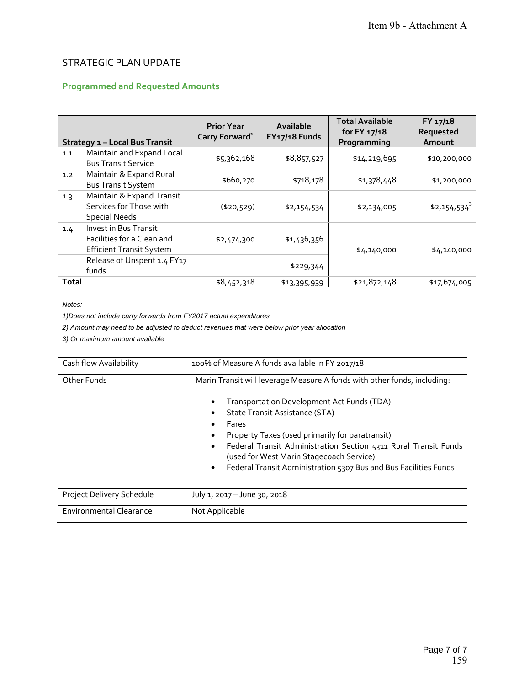# STRATEGIC PLAN UPDATE

# **Programmed and Requested Amounts**

|       | <b>Strategy 1 - Local Bus Transit</b>                                                  | <b>Prior Year</b><br>Carry Forward <sup>1</sup> | Available<br>FY17/18 Funds | <b>Total Available</b><br>for $FY 17/18$<br>Programming | FY 17/18<br>Requested<br>Amount |
|-------|----------------------------------------------------------------------------------------|-------------------------------------------------|----------------------------|---------------------------------------------------------|---------------------------------|
| 1.1   | Maintain and Expand Local<br><b>Bus Transit Service</b>                                | \$5,362,168                                     | \$8,857,527                | \$14,219,695                                            | \$10,200,000                    |
| 1.2   | Maintain & Expand Rural<br><b>Bus Transit System</b>                                   | \$660,270                                       | \$718,178                  | \$1,378,448                                             | \$1,200,000                     |
| 1.3   | Maintain & Expand Transit<br>Services for Those with<br><b>Special Needs</b>           | (\$20,529)                                      | \$2,154,534                | \$2,134,005                                             | $$2,154,534^3$                  |
| 1.4   | Invest in Bus Transit<br>Facilities for a Clean and<br><b>Efficient Transit System</b> | \$2,474,300                                     | \$1,436,356                | \$4,140,000                                             | \$4,140,000                     |
|       | Release of Unspent 1.4 FY17<br>funds                                                   |                                                 | \$229,344                  |                                                         |                                 |
| Total |                                                                                        | \$8,452,318                                     | \$13,395,939               | \$21,872,148                                            | \$17,674,005                    |

*Notes:* 

*1)Does not include carry forwards from FY2017 actual expenditures*

*2) Amount may need to be adjusted to deduct revenues that were below prior year allocation*

*3) Or maximum amount available*

| Cash flow Availability         | 100% of Measure A funds available in FY 2017/18                                                                                                                                                                                                                                                                                                                                                                                                                         |
|--------------------------------|-------------------------------------------------------------------------------------------------------------------------------------------------------------------------------------------------------------------------------------------------------------------------------------------------------------------------------------------------------------------------------------------------------------------------------------------------------------------------|
| Other Funds                    | Marin Transit will leverage Measure A funds with other funds, including:<br>Transportation Development Act Funds (TDA)<br>$\bullet$<br><b>State Transit Assistance (STA)</b><br>Fares<br>٠<br>Property Taxes (used primarily for paratransit)<br>$\bullet$<br>Federal Transit Administration Section 5311 Rural Transit Funds<br>$\bullet$<br>(used for West Marin Stagecoach Service)<br>Federal Transit Administration 5307 Bus and Bus Facilities Funds<br>$\bullet$ |
| Project Delivery Schedule      | July 1, 2017 - June 30, 2018                                                                                                                                                                                                                                                                                                                                                                                                                                            |
| <b>Environmental Clearance</b> | Not Applicable                                                                                                                                                                                                                                                                                                                                                                                                                                                          |